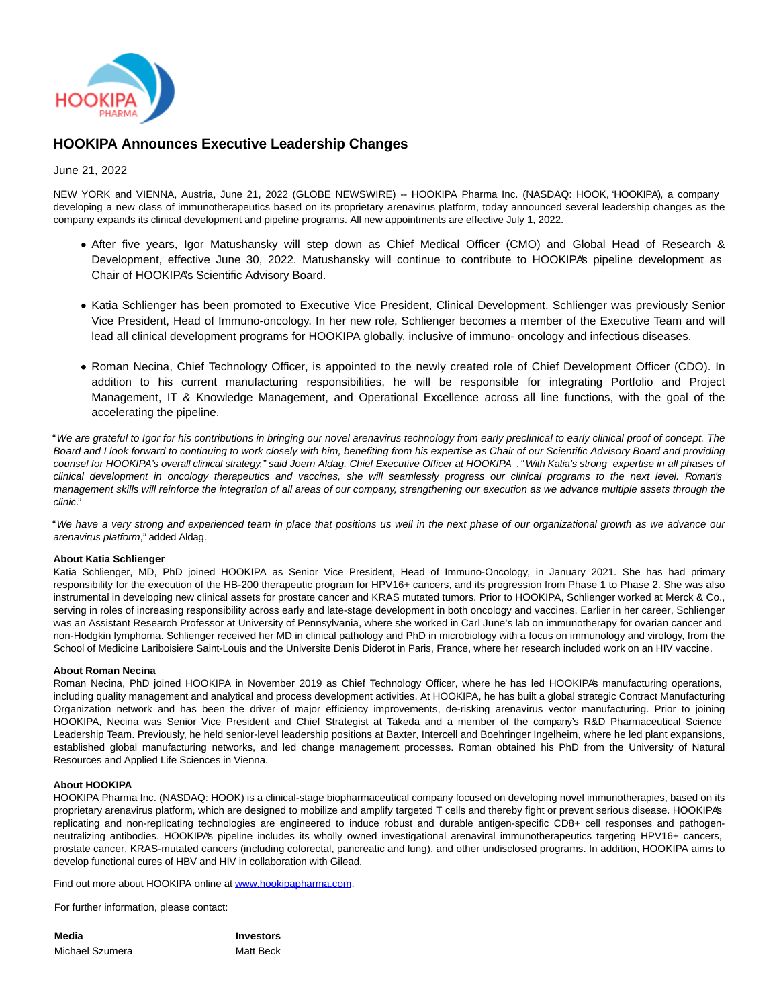

# **HOOKIPA Announces Executive Leadership Changes**

## June 21, 2022

NEW YORK and VIENNA, Austria, June 21, 2022 (GLOBE NEWSWIRE) -- HOOKIPA Pharma Inc. (NASDAQ: HOOK, 'HOOKIPA'), a company developing a new class of immunotherapeutics based on its proprietary arenavirus platform, today announced several leadership changes as the company expands its clinical development and pipeline programs. All new appointments are effective July 1, 2022.

- After five years, Igor Matushansky will step down as Chief Medical Officer (CMO) and Global Head of Research & Development, effective June 30, 2022. Matushansky will continue to contribute to HOOKIPA's pipeline development as Chair of HOOKIPA's Scientific Advisory Board.
- Katia Schlienger has been promoted to Executive Vice President, Clinical Development. Schlienger was previously Senior Vice President, Head of Immuno-oncology. In her new role, Schlienger becomes a member of the Executive Team and will lead all clinical development programs for HOOKIPA globally, inclusive of immuno- oncology and infectious diseases.
- Roman Necina, Chief Technology Officer, is appointed to the newly created role of Chief Development Officer (CDO). In addition to his current manufacturing responsibilities, he will be responsible for integrating Portfolio and Project Management, IT & Knowledge Management, and Operational Excellence across all line functions, with the goal of the accelerating the pipeline.

"We are grateful to Igor for his contributions in bringing our novel arenavirus technology from early preclinical to early clinical proof of concept. The Board and I look forward to continuing to work closely with him, benefiting from his expertise as Chair of our Scientific Advisory Board and providing counsel for HOOKIPA's overall clinical strategy," said Joern Aldag, Chief Executive Officer at HOOKIPA . "With Katia's strong expertise in all phases of clinical development in oncology therapeutics and vaccines, she will seamlessly progress our clinical programs to the next level. Roman's management skills will reinforce the integration of all areas of our company, strengthening our execution as we advance multiple assets through the clinic."

"We have a very strong and experienced team in place that positions us well in the next phase of our organizational growth as we advance our arenavirus platform," added Aldag.

### **About Katia Schlienger**

Katia Schlienger, MD, PhD joined HOOKIPA as Senior Vice President, Head of Immuno-Oncology, in January 2021. She has had primary responsibility for the execution of the HB-200 therapeutic program for HPV16+ cancers, and its progression from Phase 1 to Phase 2. She was also instrumental in developing new clinical assets for prostate cancer and KRAS mutated tumors. Prior to HOOKIPA, Schlienger worked at Merck & Co., serving in roles of increasing responsibility across early and late-stage development in both oncology and vaccines. Earlier in her career, Schlienger was an Assistant Research Professor at University of Pennsylvania, where she worked in Carl June's lab on immunotherapy for ovarian cancer and non-Hodgkin lymphoma. Schlienger received her MD in clinical pathology and PhD in microbiology with a focus on immunology and virology, from the School of Medicine Lariboisiere Saint-Louis and the Universite Denis Diderot in Paris, France, where her research included work on an HIV vaccine.

### **About Roman Necina**

Roman Necina, PhD joined HOOKIPA in November 2019 as Chief Technology Officer, where he has led HOOKIPA's manufacturing operations, including quality management and analytical and process development activities. At HOOKIPA, he has built a global strategic Contract Manufacturing Organization network and has been the driver of major efficiency improvements, de-risking arenavirus vector manufacturing. Prior to joining HOOKIPA, Necina was Senior Vice President and Chief Strategist at Takeda and a member of the company's R&D Pharmaceutical Science Leadership Team. Previously, he held senior-level leadership positions at Baxter, Intercell and Boehringer Ingelheim, where he led plant expansions, established global manufacturing networks, and led change management processes. Roman obtained his PhD from the University of Natural Resources and Applied Life Sciences in Vienna.

### **About HOOKIPA**

HOOKIPA Pharma Inc. (NASDAQ: HOOK) is a clinical-stage biopharmaceutical company focused on developing novel immunotherapies, based on its proprietary arenavirus platform, which are designed to mobilize and amplify targeted T cells and thereby fight or prevent serious disease. HOOKIPA's replicating and non-replicating technologies are engineered to induce robust and durable antigen-specific CD8+ cell responses and pathogenneutralizing antibodies. HOOKIPA's pipeline includes its wholly owned investigational arenaviral immunotherapeutics targeting HPV16+ cancers, prostate cancer, KRAS-mutated cancers (including colorectal, pancreatic and lung), and other undisclosed programs. In addition, HOOKIPA aims to develop functional cures of HBV and HIV in collaboration with Gilead.

Find out more about HOOKIPA online at [www.hookipapharma.com.](https://www.globenewswire.com/Tracker?data=29Is7RGNYEQ2APdpQ3A_dGB3nIzxZmEJwnLZCHAlr-P1Kd-x0LotFzC9UbreRTQiw7pLv3oga3IdL_PT9jCGuf6tf0qsmK6i8rrOx6DT-Pw=)

For further information, please contact:

**Media Investors** Michael Szumera **Matt Beck**